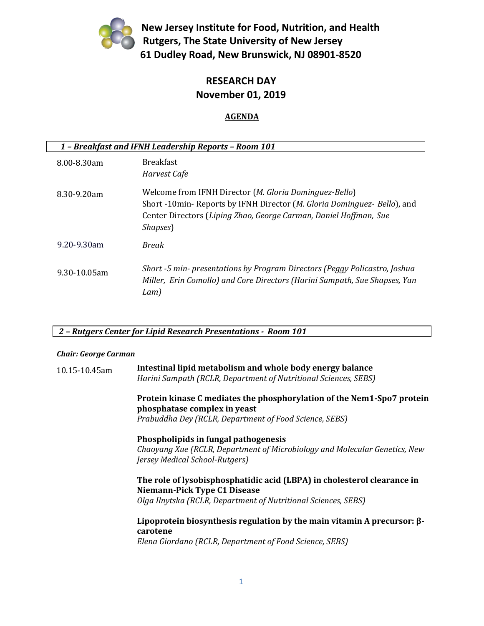

**New Jersey Institute for Food, Nutrition, and Health Rutgers, The State University of New Jersey 61 Dudley Road, New Brunswick, NJ 08901-8520**

### **RESEARCH DAY November 01, 2019**

#### **AGENDA**

| 1 - Breakfast and IFNH Leadership Reports - Room 101 |                                                                                                                                                                                                                              |  |
|------------------------------------------------------|------------------------------------------------------------------------------------------------------------------------------------------------------------------------------------------------------------------------------|--|
| 8.00-8.30am                                          | <b>Breakfast</b><br>Harvest Cafe                                                                                                                                                                                             |  |
| 8.30-9.20am                                          | Welcome from IFNH Director (M. Gloria Dominguez-Bello)<br>Short -10min- Reports by IFNH Director ( <i>M. Gloria Dominguez- Bello</i> ), and<br>Center Directors (Liping Zhao, George Carman, Daniel Hoffman, Sue<br>Shapses) |  |
| 9.20-9.30am                                          | <b>Break</b>                                                                                                                                                                                                                 |  |
| $9.30 - 10.05$ am                                    | Short -5 min- presentations by Program Directors (Peggy Policastro, Joshua<br>Miller, Erin Comollo) and Core Directors (Harini Sampath, Sue Shapses, Yan<br>Lam)                                                             |  |

*2 – Rutgers Center for Lipid Research Presentations - Room 101*

#### *Chair: George Carman*

| 10.15-10.45am | Intestinal lipid metabolism and whole body energy balance       |
|---------------|-----------------------------------------------------------------|
|               | Harini Sampath (RCLR, Department of Nutritional Sciences, SEBS) |

**Protein kinase C mediates the phosphorylation of the Nem1-Spo7 protein phosphatase complex in yeast**

*Prabuddha Dey (RCLR, Department of Food Science, SEBS)* 

#### **Phospholipids in fungal pathogenesis**

*Chaoyang Xue (RCLR, Department of Microbiology and Molecular Genetics, New Jersey Medical School-Rutgers)* 

### **The role of lysobisphosphatidic acid (LBPA) in cholesterol clearance in Niemann-Pick Type C1 Disease**

*Olga Ilnytska (RCLR, Department of Nutritional Sciences, SEBS)* 

#### **Lipoprotein biosynthesis regulation by the main vitamin A precursor: βcarotene**

*Elena Giordano (RCLR, Department of Food Science, SEBS)*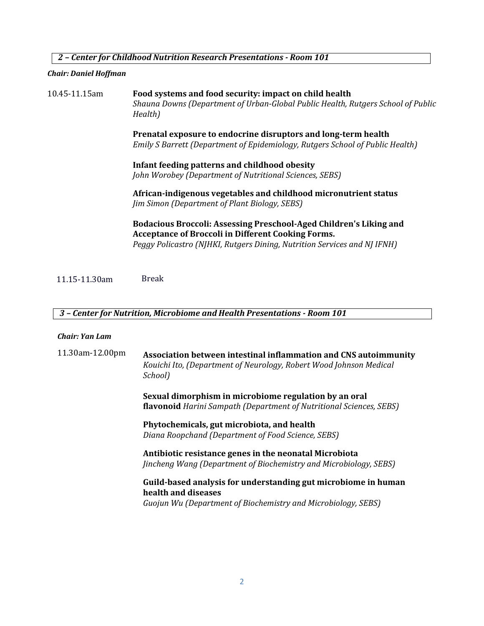*2 – Center for Childhood Nutrition Research Presentations - Room 101*

#### *Chair: Daniel Hoffman*

10.45-11.15am **Food systems and food security: impact on child health** *Shauna Downs (Department of Urban-Global Public Health, Rutgers School of Public Health)* **Prenatal exposure to endocrine disruptors and long-term health** *Emily S Barrett (Department of Epidemiology, Rutgers School of Public Health)* **Infant feeding patterns and childhood obesity** *John Worobey (Department of Nutritional Sciences, SEBS)* **African-indigenous vegetables and childhood micronutrient status** *Jim Simon (Department of Plant Biology, SEBS)* **Bodacious Broccoli: Assessing Preschool-Aged Children's Liking and Acceptance of Broccoli in Different Cooking Forms.** *Peggy Policastro (NJHKI, Rutgers Dining, Nutrition Services and NJ IFNH)*

11.15-11.30am Break

#### *3 – Center for Nutrition, Microbiome and Health Presentations - Room 101*

#### *Chair: Yan Lam*

| 11.30am-12.00pm | Association between intestinal inflammation and CNS autoimmunity<br>Kouichi Ito, (Department of Neurology, Robert Wood Johnson Medical<br>School)      |
|-----------------|--------------------------------------------------------------------------------------------------------------------------------------------------------|
|                 | Sexual dimorphism in microbiome regulation by an oral<br><b>flavonoid</b> Harini Sampath (Department of Nutritional Sciences, SEBS)                    |
|                 | Phytochemicals, gut microbiota, and health<br>Diana Roopchand (Department of Food Science, SEBS)                                                       |
|                 | Antibiotic resistance genes in the neonatal Microbiota<br><i>Jincheng Wang (Department of Biochemistry and Microbiology, SEBS)</i>                     |
|                 | Guild-based analysis for understanding gut microbiome in human<br>health and diseases<br>Guojun Wu (Department of Biochemistry and Microbiology, SEBS) |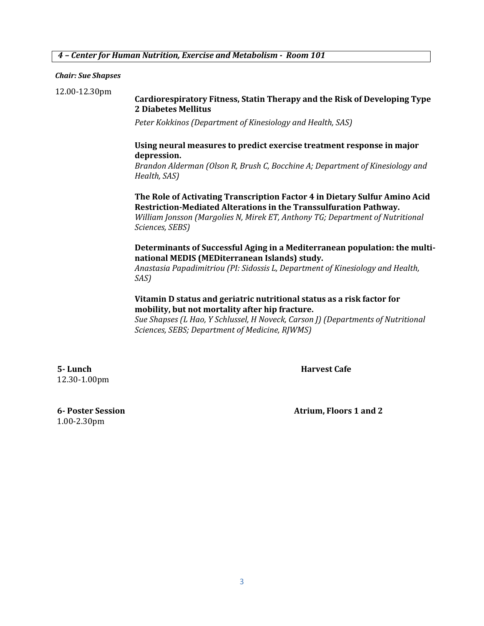#### *4 – Center for Human Nutrition, Exercise and Metabolism - Room 101*

*Chair: Sue Shapses*

12.00-12.30pm

#### **Cardiorespiratory Fitness, Statin Therapy and the Risk of Developing Type 2 Diabetes Mellitus**

*Peter Kokkinos (Department of Kinesiology and Health, SAS)*

#### **Using neural measures to predict exercise treatment response in major depression.**

*Brandon Alderman (Olson R, Brush C, Bocchine A; Department of Kinesiology and Health, SAS)*

**The Role of Activating Transcription Factor 4 in Dietary Sulfur Amino Acid Restriction-Mediated Alterations in the Transsulfuration Pathway.**

*William Jonsson (Margolies N, Mirek ET, Anthony TG; Department of Nutritional Sciences, SEBS)* 

**Determinants of Successful Aging in a Mediterranean population: the multinational MEDIS (MEDiterranean Islands) study.** 

*Anastasia Papadimitriou (PI: Sidossis L, Department of Kinesiology and Health, SAS)*

#### **Vitamin D status and geriatric nutritional status as a risk factor for mobility, but not mortality after hip fracture.**

*Sue Shapses (L Hao, Y Schlussel, H Noveck, Carson J) (Departments of Nutritional Sciences, SEBS; Department of Medicine, RJWMS)*

**5- Lunch Harvest Cafe** 12.30-1.00pm

1.00-2.30pm

**6- Poster Session Atrium, Floors 1 and 2**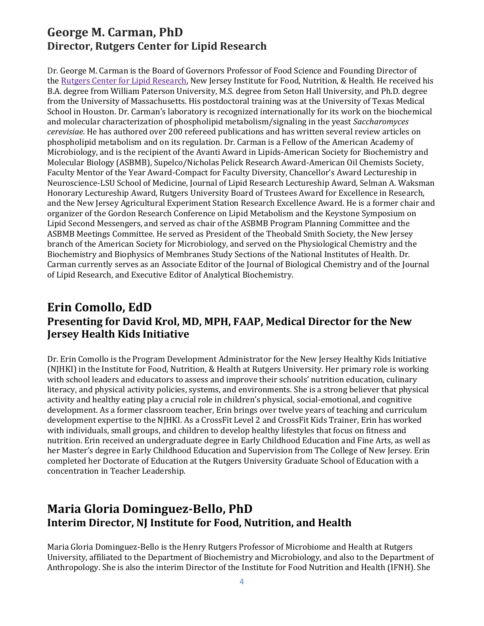### **George M. Carman, PhD Director, Rutgers Center for Lipid Research**

Dr. George M. Carman is the Board of Governors Professor of Food Science and Founding Director of the [Rutgers Center for Lipid Research,](http://rclr.rutgers.edu/) New Jersey Institute for Food, Nutrition, & Health. He received his B.A. degree from William Paterson University, M.S. degree from Seton Hall University, and Ph.D. degree from the University of Massachusetts. His postdoctoral training was at the University of Texas Medical School in Houston. Dr. Carman's laboratory is recognized internationally for its work on the biochemical and molecular characterization of phospholipid metabolism/signaling in the yeast *Saccharomyces cerevisiae*. He has authored over 200 refereed publications and has written several review articles on phospholipid metabolism and on its regulation. Dr. Carman is a Fellow of the American Academy of Microbiology, and is the recipient of the Avanti Award in Lipids-American Society for Biochemistry and Molecular Biology (ASBMB), Supelco/Nicholas Pelick Research Award-American Oil Chemists Society, Faculty Mentor of the Year Award-Compact for Faculty Diversity, Chancellor's Award Lectureship in Neuroscience-LSU School of Medicine, Journal of Lipid Research Lectureship Award, Selman A. Waksman Honorary Lectureship Award, Rutgers University Board of Trustees Award for Excellence in Research, and the New Jersey Agricultural Experiment Station Research Excellence Award. He is a former chair and organizer of the Gordon Research Conference on Lipid Metabolism and the Keystone Symposium on Lipid Second Messengers, and served as chair of the ASBMB Program Planning Committee and the ASBMB Meetings Committee. He served as President of the Theobald Smith Society, the New Jersey branch of the American Society for Microbiology, and served on the Physiological Chemistry and the Biochemistry and Biophysics of Membranes Study Sections of the National Institutes of Health. Dr. Carman currently serves as an Associate Editor of the Journal of Biological Chemistry and of the Journal of Lipid Research, and Executive Editor of Analytical Biochemistry.

# **Erin Comollo, EdD Presenting for David Krol, MD, MPH, FAAP, Medical Director for the New Jersey Health Kids Initiative**

Dr. Erin Comollo is the Program Development Administrator for the New Jersey Healthy Kids Initiative (NJHKI) in the Institute for Food, Nutrition, & Health at Rutgers University. Her primary role is working with school leaders and educators to assess and improve their schools' nutrition education, culinary literacy, and physical activity policies, systems, and environments. She is a strong believer that physical activity and healthy eating play a crucial role in children's physical, social-emotional, and cognitive development. As a former classroom teacher, Erin brings over twelve years of teaching and curriculum development expertise to the NJHKI. As a CrossFit Level 2 and CrossFit Kids Trainer, Erin has worked with individuals, small groups, and children to develop healthy lifestyles that focus on fitness and nutrition. Erin received an undergraduate degree in Early Childhood Education and Fine Arts, as well as her Master's degree in Early Childhood Education and Supervision from The College of New Jersey. Erin completed her Doctorate of Education at the Rutgers University Graduate School of Education with a concentration in Teacher Leadership.

## **Maria Gloria Dominguez-Bello, PhD Interim Director, NJ Institute for Food, Nutrition, and Health**

Maria Gloria Dominguez-Bello is the Henry Rutgers Professor of Microbiome and Health at Rutgers University, affiliated to the Department of Biochemistry and Microbiology, and also to the Department of Anthropology. She is also the interim Director of the Institute for Food Nutrition and Health (IFNH). She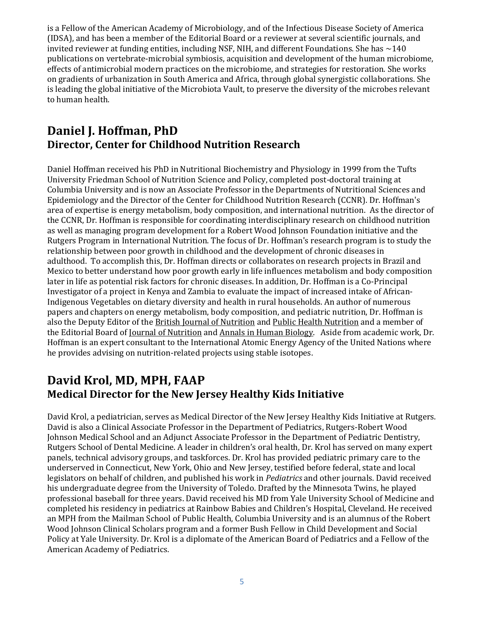is a Fellow of the American Academy of Microbiology, and of the Infectious Disease Society of America (IDSA), and has been a member of the Editorial Board or a reviewer at several scientific journals, and invited reviewer at funding entities, including NSF, NIH, and different Foundations. She has  $\sim$  140 publications on vertebrate-microbial symbiosis, acquisition and development of the human microbiome, effects of antimicrobial modern practices on the microbiome, and strategies for restoration. She works on gradients of urbanization in South America and Africa, through global synergistic collaborations. She is leading the global initiative of the Microbiota Vault, to preserve the diversity of the microbes relevant to human health.

### **Daniel J. Hoffman, PhD Director, Center for Childhood Nutrition Research**

Daniel Hoffman received his PhD in Nutritional Biochemistry and Physiology in 1999 from the Tufts University Friedman School of Nutrition Science and Policy, completed post-doctoral training at Columbia University and is now an Associate Professor in the Departments of Nutritional Sciences and Epidemiology and the Director of the Center for Childhood Nutrition Research (CCNR). Dr. Hoffman's area of expertise is energy metabolism, body composition, and international nutrition. As the director of the CCNR, Dr. Hoffman is responsible for coordinating interdisciplinary research on childhood nutrition as well as managing program development for a Robert Wood Johnson Foundation initiative and the Rutgers Program in International Nutrition. The focus of Dr. Hoffman's research program is to study the relationship between poor growth in childhood and the development of chronic diseases in adulthood. To accomplish this, Dr. Hoffman directs or collaborates on research projects in Brazil and Mexico to better understand how poor growth early in life influences metabolism and body composition later in life as potential risk factors for chronic diseases. In addition, Dr. Hoffman is a Co-Principal Investigator of a project in Kenya and Zambia to evaluate the impact of increased intake of African-Indigenous Vegetables on dietary diversity and health in rural households. An author of numerous papers and chapters on energy metabolism, body composition, and pediatric nutrition, Dr. Hoffman is also the Deputy Editor of the British Journal of Nutrition and Public Health Nutrition and a member of the Editorial Board of Journal of Nutrition and Annals in Human Biology. Aside from academic work, Dr. Hoffman is an expert consultant to the International Atomic Energy Agency of the United Nations where he provides advising on nutrition-related projects using stable isotopes.

### **David Krol, MD, MPH, FAAP Medical Director for the New Jersey Healthy Kids Initiative**

David Krol, a pediatrician, serves as Medical Director of the New Jersey Healthy Kids Initiative at Rutgers. David is also a Clinical Associate Professor in the Department of Pediatrics, Rutgers-Robert Wood Johnson Medical School and an Adjunct Associate Professor in the Department of Pediatric Dentistry, Rutgers School of Dental Medicine. A leader in children's oral health, Dr. Krol has served on many expert panels, technical advisory groups, and taskforces. Dr. Krol has provided pediatric primary care to the underserved in Connecticut, New York, Ohio and New Jersey, testified before federal, state and local legislators on behalf of children, and published his work in *Pediatrics* and other journals. David received his undergraduate degree from the University of Toledo. Drafted by the Minnesota Twins, he played professional baseball for three years. David received his MD from Yale University School of Medicine and completed his residency in pediatrics at Rainbow Babies and Children's Hospital, Cleveland. He received an MPH from the Mailman School of Public Health, Columbia University and is an alumnus of the Robert Wood Johnson Clinical Scholars program and a former Bush Fellow in Child Development and Social Policy at Yale University. Dr. Krol is a diplomate of the American Board of Pediatrics and a Fellow of the American Academy of Pediatrics.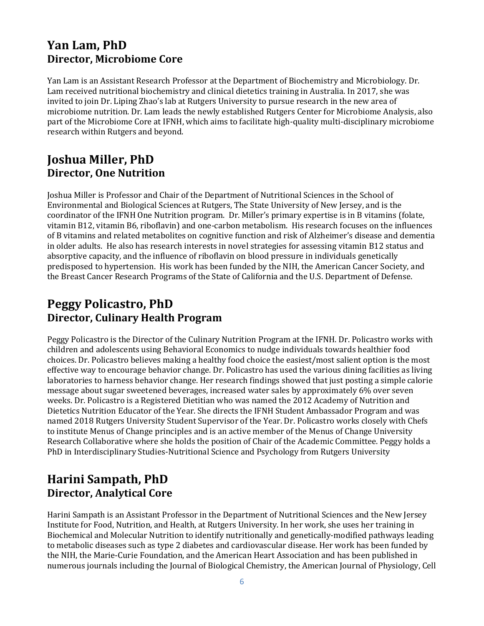### **Yan Lam, PhD Director, Microbiome Core**

Yan Lam is an Assistant Research Professor at the Department of Biochemistry and Microbiology. Dr. Lam received nutritional biochemistry and clinical dietetics training in Australia. In 2017, she was invited to join Dr. Liping Zhao's lab at Rutgers University to pursue research in the new area of microbiome nutrition. Dr. Lam leads the newly established Rutgers Center for Microbiome Analysis, also part of the Microbiome Core at IFNH, which aims to facilitate high-quality multi-disciplinary microbiome research within Rutgers and beyond.

### **Joshua Miller, PhD Director, One Nutrition**

Joshua Miller is Professor and Chair of the Department of Nutritional Sciences in the School of Environmental and Biological Sciences at Rutgers, The State University of New Jersey, and is the coordinator of the IFNH One Nutrition program. Dr. Miller's primary expertise is in B vitamins (folate, vitamin B12, vitamin B6, riboflavin) and one-carbon metabolism. His research focuses on the influences of B vitamins and related metabolites on cognitive function and risk of Alzheimer's disease and dementia in older adults. He also has research interests in novel strategies for assessing vitamin B12 status and absorptive capacity, and the influence of riboflavin on blood pressure in individuals genetically predisposed to hypertension. His work has been funded by the NIH, the American Cancer Society, and the Breast Cancer Research Programs of the State of California and the U.S. Department of Defense.

## **Peggy Policastro, PhD Director, Culinary Health Program**

Peggy Policastro is the Director of the Culinary Nutrition Program at the IFNH. Dr. Policastro works with children and adolescents using Behavioral Economics to nudge individuals towards healthier food choices. Dr. Policastro believes making a healthy food choice the easiest/most salient option is the most effective way to encourage behavior change. Dr. Policastro has used the various dining facilities as living laboratories to harness behavior change. Her research findings showed that just posting a simple calorie message about sugar sweetened beverages, increased water sales by approximately 6% over seven weeks. Dr. Policastro is a Registered Dietitian who was named the 2012 Academy of Nutrition and Dietetics Nutrition Educator of the Year. She directs the IFNH Student Ambassador Program and was named 2018 Rutgers University Student Supervisor of the Year. Dr. Policastro works closely with Chefs to institute Menus of Change principles and is an active member of the Menus of Change University Research Collaborative where she holds the position of Chair of the Academic Committee. Peggy holds a PhD in Interdisciplinary Studies-Nutritional Science and Psychology from Rutgers University

# **Harini Sampath, PhD Director, Analytical Core**

Harini Sampath is an Assistant Professor in the Department of Nutritional Sciences and the New Jersey Institute for Food, Nutrition, and Health, at Rutgers University. In her work, she uses her training in Biochemical and Molecular Nutrition to identify nutritionally and genetically-modified pathways leading to metabolic diseases such as type 2 diabetes and cardiovascular disease. Her work has been funded by the NIH, the Marie-Curie Foundation, and the American Heart Association and has been published in numerous journals including the Journal of Biological Chemistry, the American Journal of Physiology, Cell